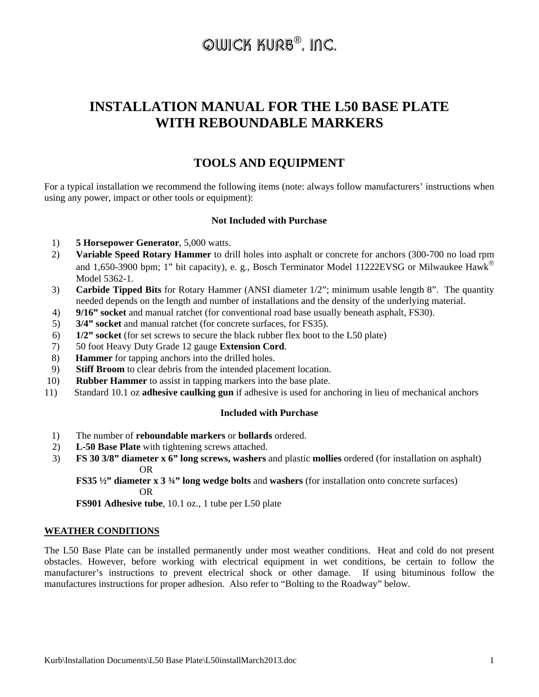## QWICK KURB<sup>®</sup>, INC.

### **INSTALLATION MANUAL FOR THE L50 BASE PLATE WITH REBOUNDABLE MARKERS**

### **TOOLS AND EQUIPMENT**

For a typical installation we recommend the following items (note: always follow manufacturers' instructions when using any power, impact or other tools or equipment):

#### **Not Included with Purchase**

- 1) **5 Horsepower Generator**, 5,000 watts.
- 2) **Variable Speed Rotary Hammer** to drill holes into asphalt or concrete for anchors (300-700 no load rpm and 1,650-3900 bpm; 1" bit capacity), e. g., Bosch Terminator Model 11222EVSG or Milwaukee Hawk Model 5362-1.
- 3) **Carbide Tipped Bits** for Rotary Hammer (ANSI diameter 1/2"; minimum usable length 8". The quantity needed depends on the length and number of installations and the density of the underlying material.
- 4) **9/16" socket** and manual ratchet (for conventional road base usually beneath asphalt, FS30).
- 5) **3/4" socket** and manual ratchet (for concrete surfaces, for FS35).
- 6) **1/2" socket** (for set screws to secure the black rubber flex boot to the L50 plate)
- 7) 50 foot Heavy Duty Grade 12 gauge **Extension Cord**.
- 8) **Hammer** for tapping anchors into the drilled holes.
- 9) **Stiff Broom** to clear debris from the intended placement location.
- 10) **Rubber Hammer** to assist in tapping markers into the base plate.
- 11) Standard 10.1 oz **adhesive caulking gun** if adhesive is used for anchoring in lieu of mechanical anchors

#### **Included with Purchase**

- 1) The number of **reboundable markers** or **bollards** ordered.
- 2) **L-50 Base Plate** with tightening screws attached.
- 3) **FS 30 3/8" diameter x 6" long screws, washers** and plastic **mollies** ordered (for installation on asphalt) OR
- **FS35 ½" diameter x 3 ¾" long wedge bolts** and **washers** (for installation onto concrete surfaces) OR

**FS901 Adhesive tube**, 10.1 oz., 1 tube per L50 plate

#### **WEATHER CONDITIONS**

The L50 Base Plate can be installed permanently under most weather conditions. Heat and cold do not present obstacles. However, before working with electrical equipment in wet conditions, be certain to follow the manufacturer's instructions to prevent electrical shock or other damage. If using bituminous follow the manufactures instructions for proper adhesion. Also refer to "Bolting to the Roadway" below.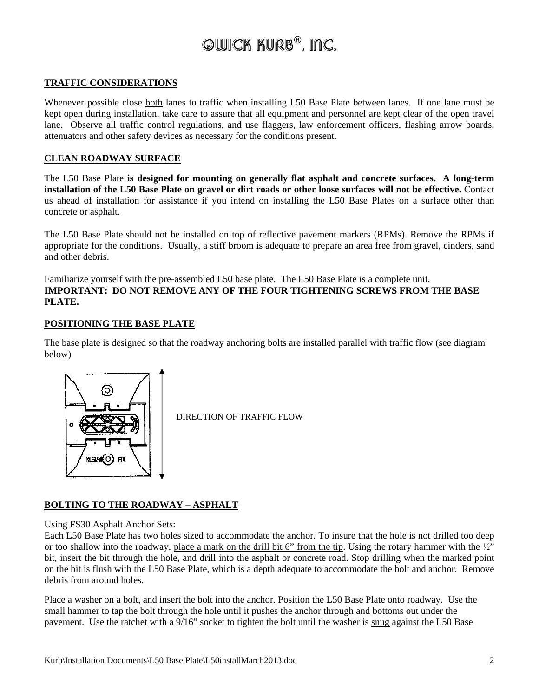# QWICK KURB<sup>®</sup>, INC.

#### **TRAFFIC CONSIDERATIONS**

Whenever possible close both lanes to traffic when installing L50 Base Plate between lanes. If one lane must be kept open during installation, take care to assure that all equipment and personnel are kept clear of the open travel lane. Observe all traffic control regulations, and use flaggers, law enforcement officers, flashing arrow boards, attenuators and other safety devices as necessary for the conditions present.

#### **CLEAN ROADWAY SURFACE**

The L50 Base Plate **is designed for mounting on generally flat asphalt and concrete surfaces. A long-term installation of the L50 Base Plate on gravel or dirt roads or other loose surfaces will not be effective.** Contact us ahead of installation for assistance if you intend on installing the L50 Base Plates on a surface other than concrete or asphalt.

The L50 Base Plate should not be installed on top of reflective pavement markers (RPMs). Remove the RPMs if appropriate for the conditions. Usually, a stiff broom is adequate to prepare an area free from gravel, cinders, sand and other debris.

#### Familiarize yourself with the pre-assembled L50 base plate. The L50 Base Plate is a complete unit. **IMPORTANT: DO NOT REMOVE ANY OF THE FOUR TIGHTENING SCREWS FROM THE BASE PLATE.**

#### **POSITIONING THE BASE PLATE**

The base plate is designed so that the roadway anchoring bolts are installed parallel with traffic flow (see diagram below)



DIRECTION OF TRAFFIC FLOW

#### **BOLTING TO THE ROADWAY – ASPHALT**

Using FS30 Asphalt Anchor Sets:

Each L50 Base Plate has two holes sized to accommodate the anchor. To insure that the hole is not drilled too deep or too shallow into the roadway, place a mark on the drill bit 6" from the tip. Using the rotary hammer with the ½" bit, insert the bit through the hole, and drill into the asphalt or concrete road. Stop drilling when the marked point on the bit is flush with the L50 Base Plate, which is a depth adequate to accommodate the bolt and anchor. Remove debris from around holes.

Place a washer on a bolt, and insert the bolt into the anchor. Position the L50 Base Plate onto roadway. Use the small hammer to tap the bolt through the hole until it pushes the anchor through and bottoms out under the pavement. Use the ratchet with a 9/16" socket to tighten the bolt until the washer is snug against the L50 Base